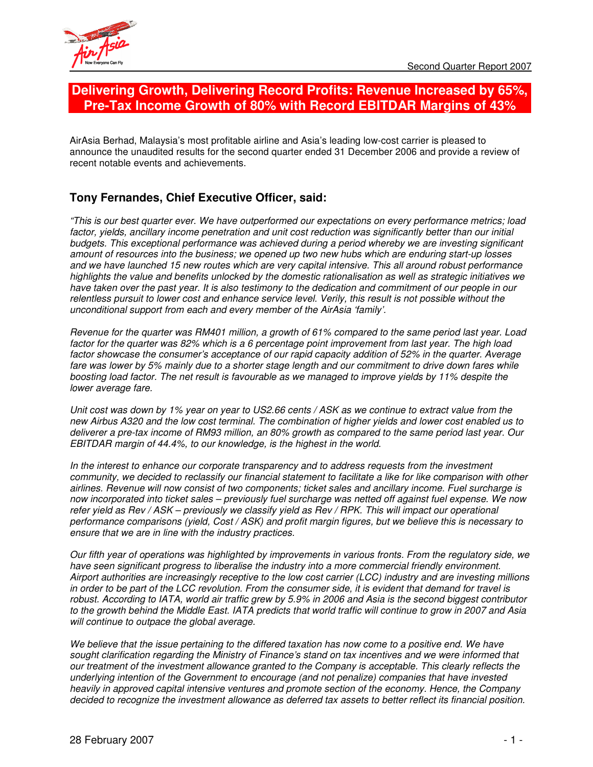

# **Delivering Growth, Delivering Record Profits: Revenue Increased by 65%, Pre-Tax Income Growth of 80% with Record EBITDAR Margins of 43%**

AirAsia Berhad, Malaysia's most profitable airline and Asia's leading low-cost carrier is pleased to announce the unaudited results for the second quarter ended 31 December 2006 and provide a review of recent notable events and achievements.

# **Tony Fernandes, Chief Executive Officer, said:**

*"This is our best quarter ever. We have outperformed our expectations on every performance metrics; load factor, yields, ancillary income penetration and unit cost reduction was significantly better than our initial budgets. This exceptional performance was achieved during a period whereby we are investing significant amount of resources into the business; we opened up two new hubs which are enduring start-up losses and we have launched 15 new routes which are very capital intensive. This all around robust performance highlights the value and benefits unlocked by the domestic rationalisation as well as strategic initiatives we* have taken over the past year. It is also testimony to the dedication and commitment of our people in our relentless pursuit to lower cost and enhance service level. Verily, this result is not possible without the *unconditional support from each and every member of the AirAsia 'family'.*

Revenue for the quarter was RM401 million, a growth of 61% compared to the same period last year. Load factor for the quarter was 82% which is a 6 percentage point improvement from last year. The high load *factor showcase the consumer's acceptance of our rapid capacity addition of 52% in the quarter. Average* fare was lower by 5% mainly due to a shorter stage length and our commitment to drive down fares while boosting load factor. The net result is favourable as we managed to improve yields by 11% despite the *lower average fare.*

Unit cost was down by 1% year on year to US2.66 cents / ASK as we continue to extract value from the new Airbus A320 and the low cost terminal. The combination of higher yields and lower cost enabled us to deliverer a pre-tax income of RM93 million, an 80% growth as compared to the same period last year. Our *EBITDAR margin of 44.4%, to our knowledge, is the highest in the world.*

*In the interest to enhance our corporate transparency and to address requests from the investment* community, we decided to reclassify our financial statement to facilitate a like for like comparison with other *airlines. Revenue will now consist of two components; ticket sales and ancillary income. Fuel surcharge is* now incorporated into ticket sales – previously fuel surcharge was netted off against fuel expense. We now refer yield as Rev / ASK - previously we classify yield as Rev / RPK. This will impact our operational performance comparisons (yield, Cost / ASK) and profit margin figures, but we believe this is necessary to *ensure that we are in line with the industry practices.*

Our fifth year of operations was highlighted by improvements in various fronts. From the regulatory side, we *have seen significant progress to liberalise the industry into a more commercial friendly environment. Airport authorities are increasingly receptive to the low cost carrier (LCC) industry and are investing millions* in order to be part of the LCC revolution. From the consumer side, it is evident that demand for travel is robust. According to IATA, world air traffic grew by 5.9% in 2006 and Asia is the second biggest contributor to the growth behind the Middle East. IATA predicts that world traffic will continue to grow in 2007 and Asia *will continue to outpace the global average.*

We believe that the issue pertaining to the differed taxation has now come to a positive end. We have *sought clarification regarding the Ministry of Finance's stand on tax incentives and we were informed that our treatment of the investment allowance granted to the Company is acceptable. This clearly reflects the underlying intention of the Government to encourage (and not penalize) companies that have invested heavily in approved capital intensive ventures and promote section of the economy. Hence, the Company decided to recognize the investment allowance as deferred tax assets to better reflect its financial position.*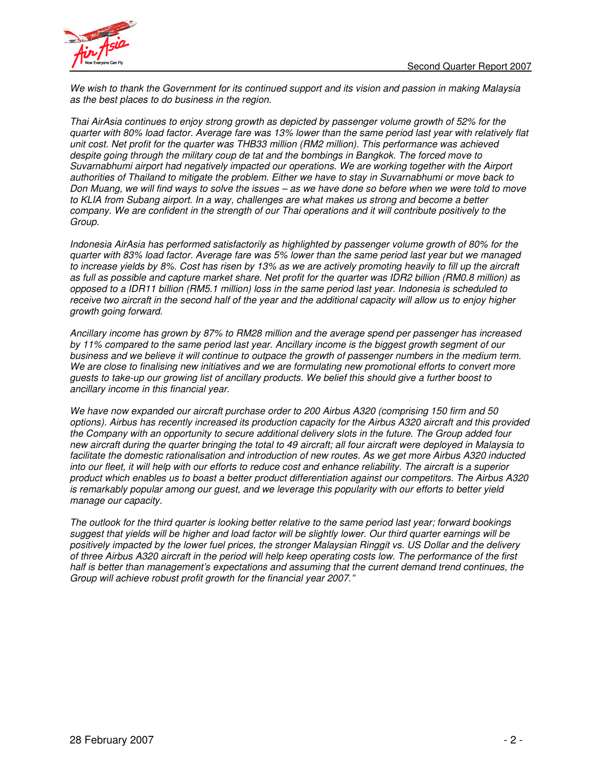

We wish to thank the Government for its continued support and its vision and passion in making Malaysia *as the best places to do business in the region.*

*Thai AirAsia continues to enjoy strong growth as depicted by passenger volume growth of 52% for the* quarter with 80% load factor. Average fare was 13% lower than the same period last year with relatively flat *unit cost. Net profit for the quarter was THB33 million (RM2 million). This performance was achieved despite going through the military coup de tat and the bombings in Bangkok. The forced move to Suvarnabhumi airport had negatively impacted our operations. We are working together with the Airport* authorities of Thailand to mitigate the problem. Either we have to stay in Suvarnabhumi or move back to Don Muang, we will find ways to solve the issues - as we have done so before when we were told to move *to KLIA from Subang airport. In a way, challenges are what makes us strong and become a better* company. We are confident in the strength of our Thai operations and it will contribute positively to the *Group.*

*Indonesia AirAsia has performed satisfactorily as highlighted by passenger volume growth of 80% for the* quarter with 83% load factor. Average fare was 5% lower than the same period last year but we managed to increase yields by 8%. Cost has risen by 13% as we are actively promoting heavily to fill up the aircraft as full as possible and capture market share. Net profit for the quarter was IDR2 billion (RM0.8 million) as opposed to a IDR11 billion (RM5.1 million) loss in the same period last year. Indonesia is scheduled to receive two aircraft in the second half of the year and the additional capacity will allow us to enjoy higher *growth going forward.*

*Ancillary income has grown by 87% to RM28 million and the average spend per passenger has increased* by 11% compared to the same period last year. Ancillary income is the biggest growth segment of our business and we believe it will continue to outpace the growth of passenger numbers in the medium term. *We are close to finalising new initiatives and we are formulating new promotional efforts to convert more* quests to take-up our growing list of ancillary products. We belief this should give a further boost to *ancillary income in this financial year.*

*We have now expanded our aircraft purchase order to 200 Airbus A320 (comprising 150 firm and 50 options). Airbus has recently increased its production capacity for the Airbus A320 aircraft and this provided the Company with an opportunity to secure additional delivery slots in the future. The Group added four* new aircraft during the quarter bringing the total to 49 aircraft: all four aircraft were deploved in Malaysia to *facilitate the domestic rationalisation and introduction of new routes. As we get more Airbus A320 inducted* into our fleet, it will help with our efforts to reduce cost and enhance reliability. The aircraft is a superior *product which enables us to boast a better product differentiation against our competitors. The Airbus A320 is remarkably popular among our guest, and we leverage this popularity with our efforts to better yield manage our capacity.*

The outlook for the third quarter is looking better relative to the same period last year; forward bookings suggest that yields will be higher and load factor will be slightly lower. Our third quarter earnings will be positively impacted by the lower fuel prices, the stronger Malaysian Ringgit vs. US Dollar and the delivery of three Airbus A320 aircraft in the period will help keep operating costs low. The performance of the first *half is better than management's expectations and assuming that the current demand trend continues, the Group will achieve robust profit growth for the financial year 2007."*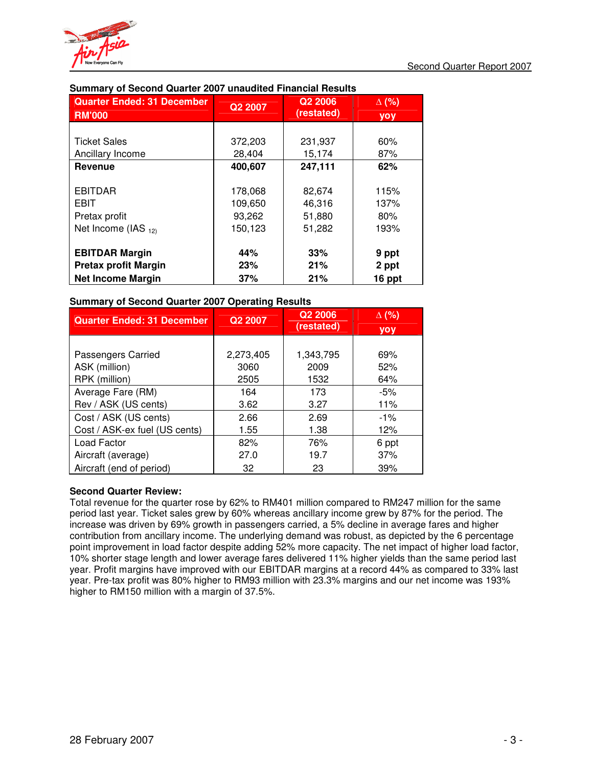

| <b>Quarter Ended: 31 December</b> | Q2 2007 | Q <sub>2</sub> 2006 | $\Delta$ (%) |
|-----------------------------------|---------|---------------------|--------------|
| <b>RM'000</b>                     |         | (restated)          | yoy          |
|                                   |         |                     |              |
| <b>Ticket Sales</b>               | 372,203 | 231,937             | 60%          |
| Ancillary Income                  | 28,404  | 15,174              | 87%          |
| Revenue                           | 400,607 | 247,111             | 62%          |
|                                   |         |                     |              |
| <b>EBITDAR</b>                    | 178,068 | 82,674              | 115%         |
| <b>EBIT</b>                       | 109,650 | 46,316              | 137%         |
| Pretax profit                     | 93,262  | 51,880              | 80%          |
| Net Income (IAS 12)               | 150,123 | 51,282              | 193%         |
|                                   |         |                     |              |
| <b>EBITDAR Margin</b>             | 44%     | 33%                 | 9 ppt        |
| <b>Pretax profit Margin</b>       | 23%     | 21%                 | 2 ppt        |
| <b>Net Income Margin</b>          | 37%     | 21%                 | 16 ppt       |

# **Summary of Second Quarter 2007 unaudited Financial Results**

# **Summary of Second Quarter 2007 Operating Results**

| <b>Quarter Ended: 31 December</b> | Q <sub>2</sub> 2007 | Q2 2006    | $\Delta$ (%) |
|-----------------------------------|---------------------|------------|--------------|
|                                   |                     | (restated) | <b>yoy</b>   |
|                                   |                     |            |              |
| Passengers Carried                | 2,273,405           | 1,343,795  | 69%          |
| ASK (million)                     | 3060                | 2009       | 52%          |
| RPK (million)                     | 2505                | 1532       | 64%          |
| Average Fare (RM)                 | 164                 | 173        | $-5%$        |
| Rev / ASK (US cents)              | 3.62                | 3.27       | 11%          |
| Cost / ASK (US cents)             | 2.66                | 2.69       | $-1\%$       |
| Cost / ASK-ex fuel (US cents)     | 1.55                | 1.38       | 12%          |
| Load Factor                       | 82%                 | 76%        | 6 ppt        |
| Aircraft (average)                | 27.0                | 19.7       | 37%          |
| Aircraft (end of period)          | 32                  | 23         | 39%          |

# **Second Quarter Review:**

Total revenue for the quarter rose by 62% to RM401 million compared to RM247 million for the same period last year. Ticket sales grew by 60% whereas ancillary income grew by 87% for the period. The increase was driven by 69% growth in passengers carried, a 5% decline in average fares and higher contribution from ancillary income. The underlying demand was robust, as depicted by the 6 percentage point improvement in load factor despite adding 52% more capacity. The net impact of higher load factor, 10% shorter stage length and lower average fares delivered 11% higher yields than the same period last year. Profit margins have improved with our EBITDAR margins at a record 44% as compared to 33% last year. Pre-tax profit was 80% higher to RM93 million with 23.3% margins and our net income was 193% higher to RM150 million with a margin of 37.5%.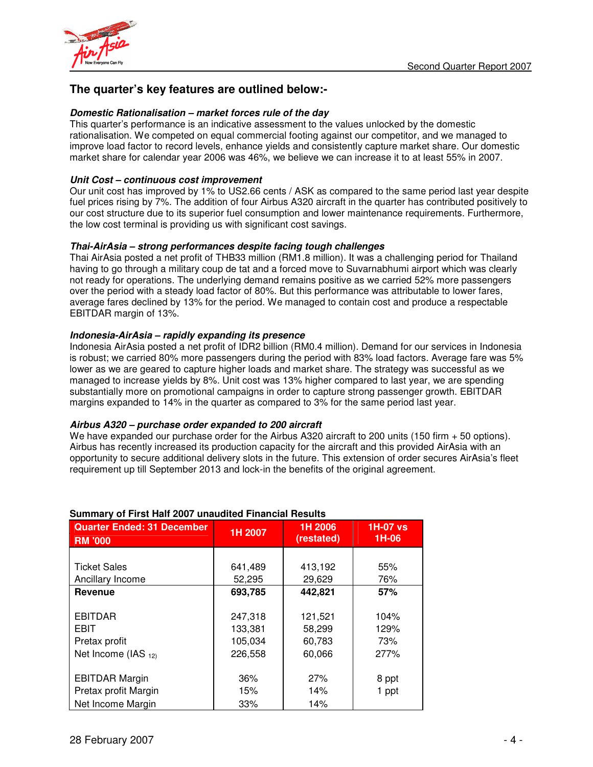

# **The quarter's key features are outlined below:-**

### *Domestic Rationalisation – market forces rule of the day*

This quarter's performance is an indicative assessment to the values unlocked by the domestic rationalisation. We competed on equal commercial footing against our competitor, and we managed to improve load factor to record levels, enhance yields and consistently capture market share. Our domestic market share for calendar year 2006 was 46%, we believe we can increase it to at least 55% in 2007.

## *Unit Cost – continuous cost improvement*

Our unit cost has improved by 1% to US2.66 cents / ASK as compared to the same period last year despite fuel prices rising by 7%. The addition of four Airbus A320 aircraft in the quarter has contributed positively to our cost structure due to its superior fuel consumption and lower maintenance requirements. Furthermore, the low cost terminal is providing us with significant cost savings.

### *Thai-AirAsia – strong performances despite facing tough challenges*

Thai AirAsia posted a net profit of THB33 million (RM1.8 million). It was a challenging period for Thailand having to go through a military coup de tat and a forced move to Suvarnabhumi airport which was clearly not ready for operations. The underlying demand remains positive as we carried 52% more passengers over the period with a steady load factor of 80%. But this performance was attributable to lower fares, average fares declined by 13% for the period. We managed to contain cost and produce a respectable EBITDAR margin of 13%.

### *Indonesia-AirAsia – rapidly expanding its presence*

Indonesia AirAsia posted a net profit of IDR2 billion (RM0.4 million). Demand for our services in Indonesia is robust; we carried 80% more passengers during the period with 83% load factors. Average fare was 5% lower as we are geared to capture higher loads and market share. The strategy was successful as we managed to increase yields by 8%. Unit cost was 13% higher compared to last year, we are spending substantially more on promotional campaigns in order to capture strong passenger growth. EBITDAR margins expanded to 14% in the quarter as compared to 3% for the same period last year.

#### *Airbus A320 – purchase order expanded to 200 aircraft*

We have expanded our purchase order for the Airbus A320 aircraft to 200 units (150 firm + 50 options). Airbus has recently increased its production capacity for the aircraft and this provided AirAsia with an opportunity to secure additional delivery slots in the future. This extension of order secures AirAsia's fleet requirement up till September 2013 and lock-in the benefits of the original agreement.

| <b>Quarter Ended: 31 December</b> | 1H 2007 | 1H 2006    | <b>1H-07 vs</b> |
|-----------------------------------|---------|------------|-----------------|
| <b>RM '000</b>                    |         | (restated) | 1H-06           |
|                                   |         |            |                 |
| <b>Ticket Sales</b>               | 641,489 | 413,192    | 55%             |
| Ancillary Income                  | 52,295  | 29,629     | 76%             |
| Revenue                           | 693,785 | 442,821    | 57%             |
|                                   |         |            |                 |
| <b>EBITDAR</b>                    | 247,318 | 121,521    | 104%            |
| <b>EBIT</b>                       | 133,381 | 58,299     | 129%            |
| Pretax profit                     | 105,034 | 60,783     | 73%             |
| Net Income (IAS $_{12}$ )         | 226,558 | 60,066     | 277%            |
|                                   |         |            |                 |
| <b>EBITDAR Margin</b>             | 36%     | 27%        | 8 ppt           |
| Pretax profit Margin              | 15%     | 14%        | 1 ppt           |
| Net Income Margin                 | 33%     | 14%        |                 |

# **Summary of First Half 2007 unaudited Financial Results**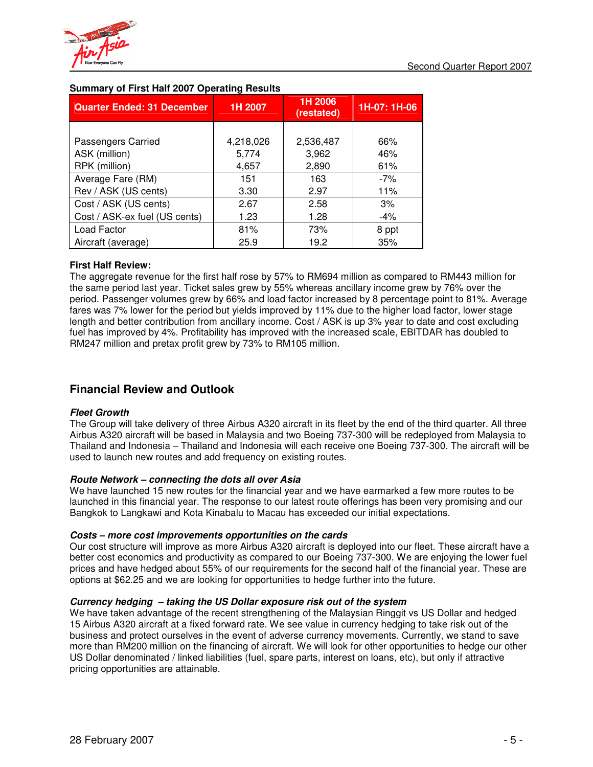

| <b>Quarter Ended: 31 December</b> | 1H 2007   | 1H 2006<br>(restated) | 1H-07: 1H-06 |
|-----------------------------------|-----------|-----------------------|--------------|
|                                   |           |                       |              |
| Passengers Carried                | 4,218,026 | 2,536,487             | 66%          |
| ASK (million)                     | 5,774     | 3,962                 | 46%          |
| RPK (million)                     | 4,657     | 2,890                 | 61%          |
| Average Fare (RM)                 | 151       | 163                   | $-7%$        |
| Rev / ASK (US cents)              | 3.30      | 2.97                  | 11%          |
| Cost / ASK (US cents)             | 2.67      | 2.58                  | 3%           |
| Cost / ASK-ex fuel (US cents)     | 1.23      | 1.28                  | $-4%$        |
| Load Factor                       | 81%       | 73%                   | 8 ppt        |
| Aircraft (average)                | 25.9      | 19.2                  | 35%          |

# **Summary of First Half 2007 Operating Results**

# **First Half Review:**

The aggregate revenue for the first half rose by 57% to RM694 million as compared to RM443 million for the same period last year. Ticket sales grew by 55% whereas ancillary income grew by 76% over the period. Passenger volumes grew by 66% and load factor increased by 8 percentage point to 81%. Average fares was 7% lower for the period but yields improved by 11% due to the higher load factor, lower stage length and better contribution from ancillary income. Cost / ASK is up 3% year to date and cost excluding fuel has improved by 4%. Profitability has improved with the increased scale, EBITDAR has doubled to RM247 million and pretax profit grew by 73% to RM105 million.

# **Financial Review and Outlook**

# *Fleet Growth*

The Group will take delivery of three Airbus A320 aircraft in its fleet by the end of the third quarter. All three Airbus A320 aircraft will be based in Malaysia and two Boeing 737-300 will be redeployed from Malaysia to Thailand and Indonesia – Thailand and Indonesia will each receive one Boeing 737-300. The aircraft will be used to launch new routes and add frequency on existing routes.

# *Route Network – connecting the dots all over Asia*

We have launched 15 new routes for the financial year and we have earmarked a few more routes to be launched in this financial year. The response to our latest route offerings has been very promising and our Bangkok to Langkawi and Kota Kinabalu to Macau has exceeded our initial expectations.

# *Costs – more cost improvements opportunities on the cards*

Our cost structure will improve as more Airbus A320 aircraft is deployed into our fleet. These aircraft have a better cost economics and productivity as compared to our Boeing 737-300. We are enjoying the lower fuel prices and have hedged about 55% of our requirements for the second half of the financial year. These are options at \$62.25 and we are looking for opportunities to hedge further into the future.

# *Currency hedging – taking the US Dollar exposure risk out of the system*

We have taken advantage of the recent strengthening of the Malaysian Ringgit vs US Dollar and hedged 15 Airbus A320 aircraft at a fixed forward rate. We see value in currency hedging to take risk out of the business and protect ourselves in the event of adverse currency movements. Currently, we stand to save more than RM200 million on the financing of aircraft. We will look for other opportunities to hedge our other US Dollar denominated / linked liabilities (fuel, spare parts, interest on loans, etc), but only if attractive pricing opportunities are attainable.